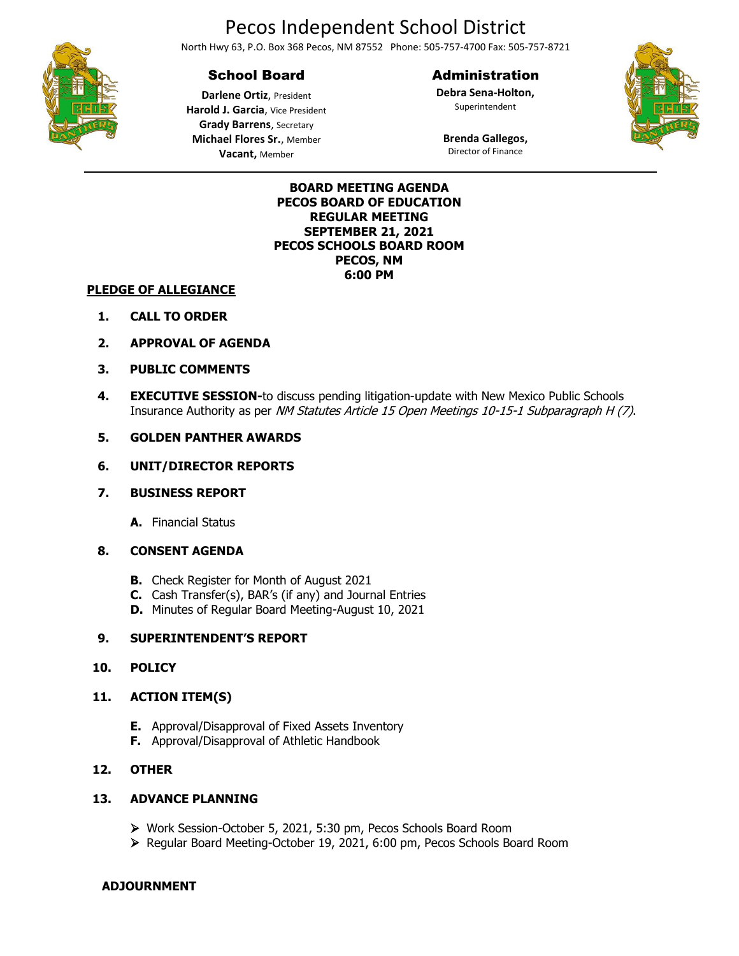# Pecos Independent School District

North Hwy 63, P.O. Box 368 Pecos, NM 87552 Phone: 505-757-4700 Fax: 505-757-8721

## School Board

### Administration

**Debra Sena-Holton,** Superintendent





**Darlene Ortiz**, President **Harold J. Garcia**, Vice President **Grady Barrens**, Secretary **Michael Flores Sr.**, Member **Vacant,** Member

**Brenda Gallegos,** Director of Finance

#### **BOARD MEETING AGENDA PECOS BOARD OF EDUCATION REGULAR MEETING SEPTEMBER 21, 2021 PECOS SCHOOLS BOARD ROOM PECOS, NM 6:00 PM**

#### **PLEDGE OF ALLEGIANCE**

- **1. CALL TO ORDER**
- **2. APPROVAL OF AGENDA**
- **3. PUBLIC COMMENTS**
- **4. EXECUTIVE SESSION-**to discuss pending litigation-update with New Mexico Public Schools Insurance Authority as per NM Statutes Article 15 Open Meetings 10-15-1 Subparagraph H (7).

#### **5. GOLDEN PANTHER AWARDS**

#### **6. UNIT/DIRECTOR REPORTS**

#### **7. BUSINESS REPORT**

**A.** Financial Status

#### **8. CONSENT AGENDA**

- **B.** Check Register for Month of August 2021
- **C.** Cash Transfer(s), BAR's (if any) and Journal Entries
- **D.** Minutes of Regular Board Meeting-August 10, 2021

#### **9. SUPERINTENDENT'S REPORT**

#### **10. POLICY**

#### **11. ACTION ITEM(S)**

- **E.** Approval/Disapproval of Fixed Assets Inventory
- **F.** Approval/Disapproval of Athletic Handbook

#### **12. OTHER**

#### **13. ADVANCE PLANNING**

- ➢ Work Session-October 5, 2021, 5:30 pm, Pecos Schools Board Room
- ➢ Regular Board Meeting-October 19, 2021, 6:00 pm, Pecos Schools Board Room

#### **ADJOURNMENT**

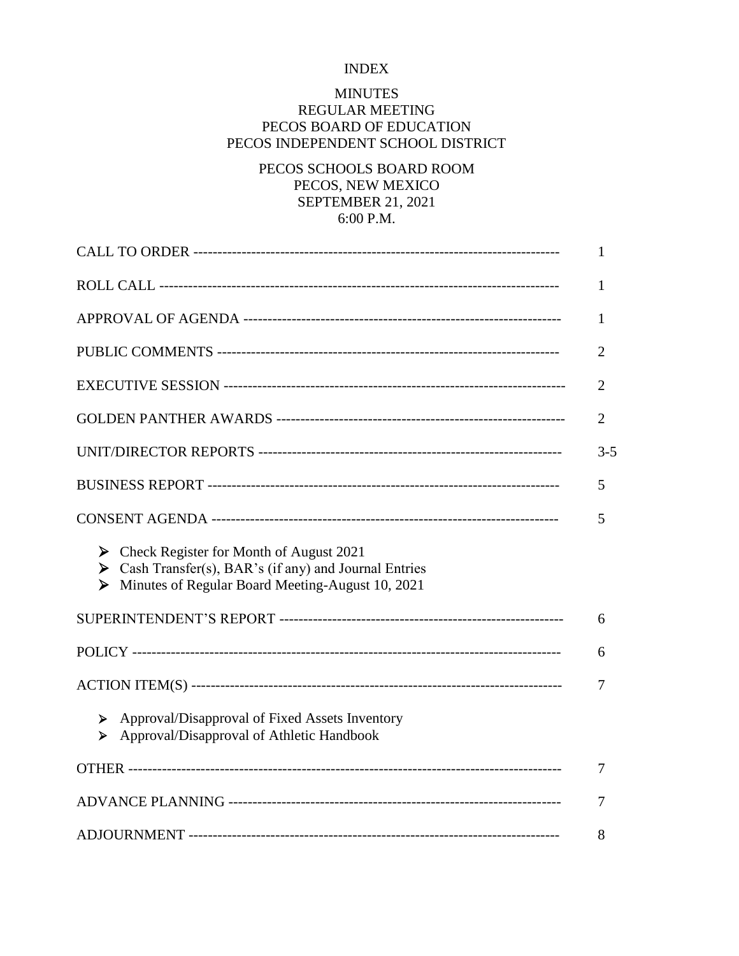## INDEX

## MINUTES

# REGULAR MEETING PECOS BOARD OF EDUCATION PECOS INDEPENDENT SCHOOL DISTRICT

# PECOS SCHOOLS BOARD ROOM PECOS, NEW MEXICO SEPTEMBER 21, 2021 6:00 P.M.

|                                                                                                                                                                                 | 1              |
|---------------------------------------------------------------------------------------------------------------------------------------------------------------------------------|----------------|
|                                                                                                                                                                                 | 1              |
|                                                                                                                                                                                 | 1              |
|                                                                                                                                                                                 | $\overline{2}$ |
|                                                                                                                                                                                 | 2              |
|                                                                                                                                                                                 | $\overline{2}$ |
|                                                                                                                                                                                 | $3 - 5$        |
|                                                                                                                                                                                 | 5              |
|                                                                                                                                                                                 | 5              |
| $\triangleright$ Check Register for Month of August 2021<br>Solution Cash Transfer(s), BAR's (if any) and Journal Entries<br>> Minutes of Regular Board Meeting-August 10, 2021 |                |
|                                                                                                                                                                                 | 6              |
|                                                                                                                                                                                 | 6              |
|                                                                                                                                                                                 | 7              |
| > Approval/Disapproval of Fixed Assets Inventory<br>Approval/Disapproval of Athletic Handbook<br>➤                                                                              |                |
|                                                                                                                                                                                 | 7              |
|                                                                                                                                                                                 | 7              |
|                                                                                                                                                                                 | 8              |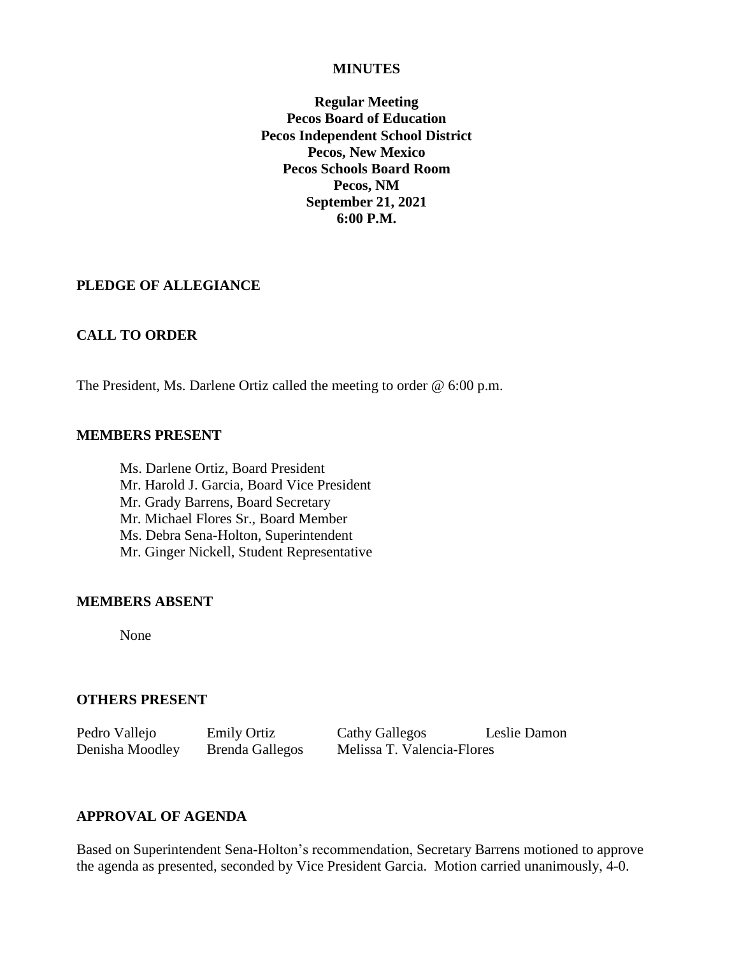#### **MINUTES**

**Regular Meeting Pecos Board of Education Pecos Independent School District Pecos, New Mexico Pecos Schools Board Room Pecos, NM September 21, 2021 6:00 P.M.**

### **PLEDGE OF ALLEGIANCE**

## **CALL TO ORDER**

The President, Ms. Darlene Ortiz called the meeting to order @ 6:00 p.m.

#### **MEMBERS PRESENT**

Ms. Darlene Ortiz, Board President Mr. Harold J. Garcia, Board Vice President Mr. Grady Barrens, Board Secretary Mr. Michael Flores Sr., Board Member Ms. Debra Sena-Holton, Superintendent Mr. Ginger Nickell, Student Representative

### **MEMBERS ABSENT**

None

### **OTHERS PRESENT**

Pedro Vallejo Emily Ortiz Cathy Gallegos Leslie Damon Denisha Moodley Brenda Gallegos Melissa T. Valencia-Flores

# **APPROVAL OF AGENDA**

Based on Superintendent Sena-Holton's recommendation, Secretary Barrens motioned to approve the agenda as presented, seconded by Vice President Garcia. Motion carried unanimously, 4-0.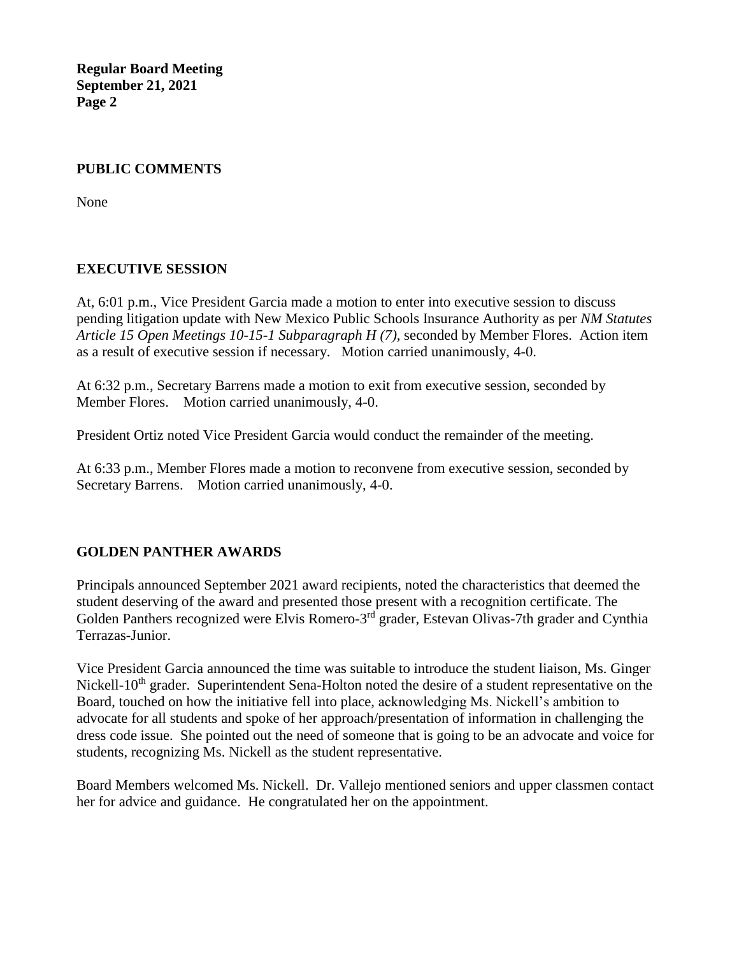# **PUBLIC COMMENTS**

None

# **EXECUTIVE SESSION**

At, 6:01 p.m., Vice President Garcia made a motion to enter into executive session to discuss pending litigation update with New Mexico Public Schools Insurance Authority as per *NM Statutes Article 15 Open Meetings 10-15-1 Subparagraph H (7),* seconded by Member Flores. Action item as a result of executive session if necessary. Motion carried unanimously, 4-0.

At 6:32 p.m., Secretary Barrens made a motion to exit from executive session, seconded by Member Flores. Motion carried unanimously, 4-0.

President Ortiz noted Vice President Garcia would conduct the remainder of the meeting.

At 6:33 p.m., Member Flores made a motion to reconvene from executive session, seconded by Secretary Barrens. Motion carried unanimously, 4-0.

# **GOLDEN PANTHER AWARDS**

Principals announced September 2021 award recipients, noted the characteristics that deemed the student deserving of the award and presented those present with a recognition certificate. The Golden Panthers recognized were Elvis Romero-3<sup>rd</sup> grader, Estevan Olivas-7th grader and Cynthia Terrazas-Junior.

Vice President Garcia announced the time was suitable to introduce the student liaison, Ms. Ginger Nickell-10<sup>th</sup> grader. Superintendent Sena-Holton noted the desire of a student representative on the Board, touched on how the initiative fell into place, acknowledging Ms. Nickell's ambition to advocate for all students and spoke of her approach/presentation of information in challenging the dress code issue. She pointed out the need of someone that is going to be an advocate and voice for students, recognizing Ms. Nickell as the student representative.

Board Members welcomed Ms. Nickell. Dr. Vallejo mentioned seniors and upper classmen contact her for advice and guidance. He congratulated her on the appointment.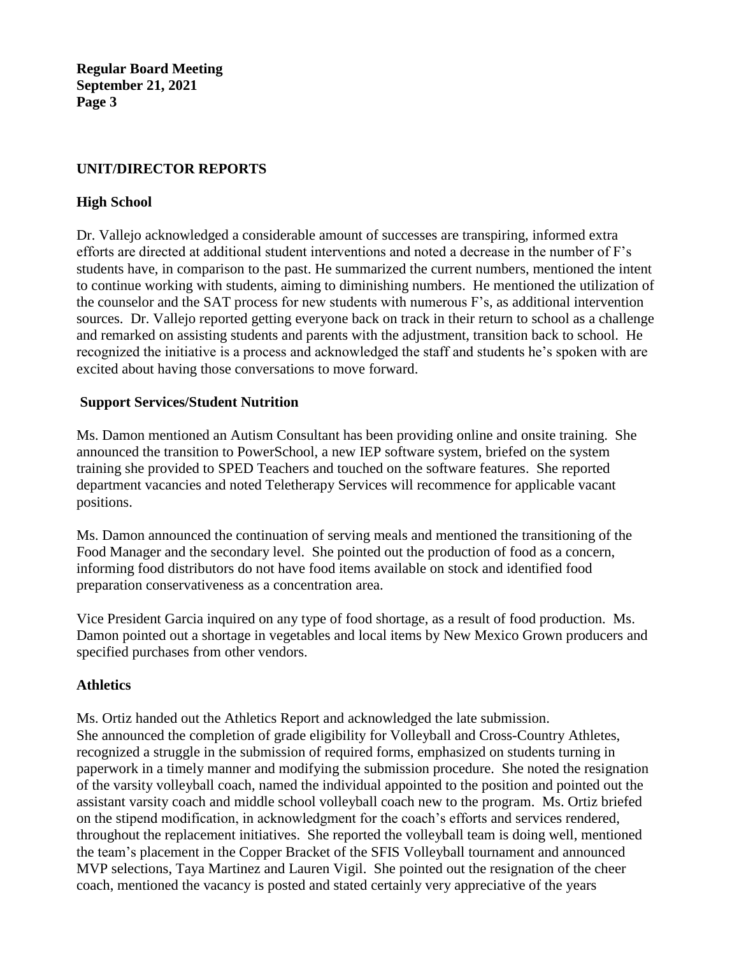# **UNIT/DIRECTOR REPORTS**

# **High School**

Dr. Vallejo acknowledged a considerable amount of successes are transpiring, informed extra efforts are directed at additional student interventions and noted a decrease in the number of F's students have, in comparison to the past. He summarized the current numbers, mentioned the intent to continue working with students, aiming to diminishing numbers. He mentioned the utilization of the counselor and the SAT process for new students with numerous F's, as additional intervention sources. Dr. Vallejo reported getting everyone back on track in their return to school as a challenge and remarked on assisting students and parents with the adjustment, transition back to school. He recognized the initiative is a process and acknowledged the staff and students he's spoken with are excited about having those conversations to move forward.

## **Support Services/Student Nutrition**

Ms. Damon mentioned an Autism Consultant has been providing online and onsite training. She announced the transition to PowerSchool, a new IEP software system, briefed on the system training she provided to SPED Teachers and touched on the software features. She reported department vacancies and noted Teletherapy Services will recommence for applicable vacant positions.

Ms. Damon announced the continuation of serving meals and mentioned the transitioning of the Food Manager and the secondary level. She pointed out the production of food as a concern, informing food distributors do not have food items available on stock and identified food preparation conservativeness as a concentration area.

Vice President Garcia inquired on any type of food shortage, as a result of food production. Ms. Damon pointed out a shortage in vegetables and local items by New Mexico Grown producers and specified purchases from other vendors.

### **Athletics**

Ms. Ortiz handed out the Athletics Report and acknowledged the late submission. She announced the completion of grade eligibility for Volleyball and Cross-Country Athletes, recognized a struggle in the submission of required forms, emphasized on students turning in paperwork in a timely manner and modifying the submission procedure. She noted the resignation of the varsity volleyball coach, named the individual appointed to the position and pointed out the assistant varsity coach and middle school volleyball coach new to the program. Ms. Ortiz briefed on the stipend modification, in acknowledgment for the coach's efforts and services rendered, throughout the replacement initiatives. She reported the volleyball team is doing well, mentioned the team's placement in the Copper Bracket of the SFIS Volleyball tournament and announced MVP selections, Taya Martinez and Lauren Vigil. She pointed out the resignation of the cheer coach, mentioned the vacancy is posted and stated certainly very appreciative of the years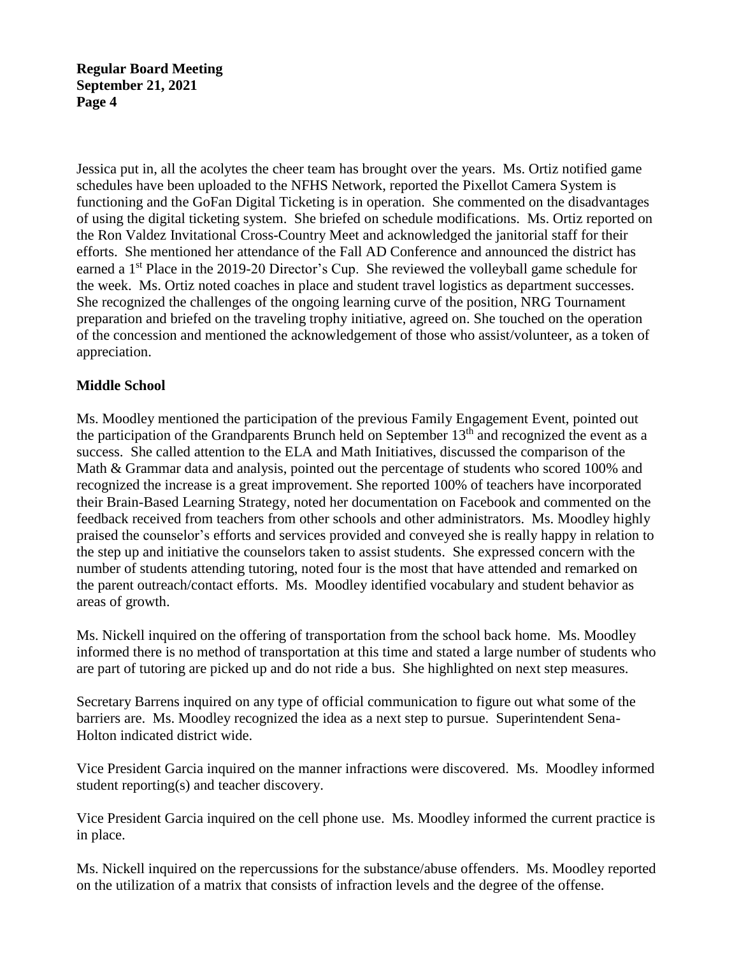Jessica put in, all the acolytes the cheer team has brought over the years. Ms. Ortiz notified game schedules have been uploaded to the NFHS Network, reported the Pixellot Camera System is functioning and the GoFan Digital Ticketing is in operation. She commented on the disadvantages of using the digital ticketing system. She briefed on schedule modifications. Ms. Ortiz reported on the Ron Valdez Invitational Cross-Country Meet and acknowledged the janitorial staff for their efforts. She mentioned her attendance of the Fall AD Conference and announced the district has earned a 1<sup>st</sup> Place in the 2019-20 Director's Cup. She reviewed the volleyball game schedule for the week. Ms. Ortiz noted coaches in place and student travel logistics as department successes. She recognized the challenges of the ongoing learning curve of the position, NRG Tournament preparation and briefed on the traveling trophy initiative, agreed on. She touched on the operation of the concession and mentioned the acknowledgement of those who assist/volunteer, as a token of appreciation.

# **Middle School**

Ms. Moodley mentioned the participation of the previous Family Engagement Event, pointed out the participation of the Grandparents Brunch held on September 13<sup>th</sup> and recognized the event as a success. She called attention to the ELA and Math Initiatives, discussed the comparison of the Math & Grammar data and analysis, pointed out the percentage of students who scored 100% and recognized the increase is a great improvement. She reported 100% of teachers have incorporated their Brain-Based Learning Strategy, noted her documentation on Facebook and commented on the feedback received from teachers from other schools and other administrators. Ms. Moodley highly praised the counselor's efforts and services provided and conveyed she is really happy in relation to the step up and initiative the counselors taken to assist students. She expressed concern with the number of students attending tutoring, noted four is the most that have attended and remarked on the parent outreach/contact efforts. Ms. Moodley identified vocabulary and student behavior as areas of growth.

Ms. Nickell inquired on the offering of transportation from the school back home. Ms. Moodley informed there is no method of transportation at this time and stated a large number of students who are part of tutoring are picked up and do not ride a bus. She highlighted on next step measures.

Secretary Barrens inquired on any type of official communication to figure out what some of the barriers are. Ms. Moodley recognized the idea as a next step to pursue. Superintendent Sena-Holton indicated district wide.

Vice President Garcia inquired on the manner infractions were discovered. Ms. Moodley informed student reporting(s) and teacher discovery.

Vice President Garcia inquired on the cell phone use. Ms. Moodley informed the current practice is in place.

Ms. Nickell inquired on the repercussions for the substance/abuse offenders. Ms. Moodley reported on the utilization of a matrix that consists of infraction levels and the degree of the offense.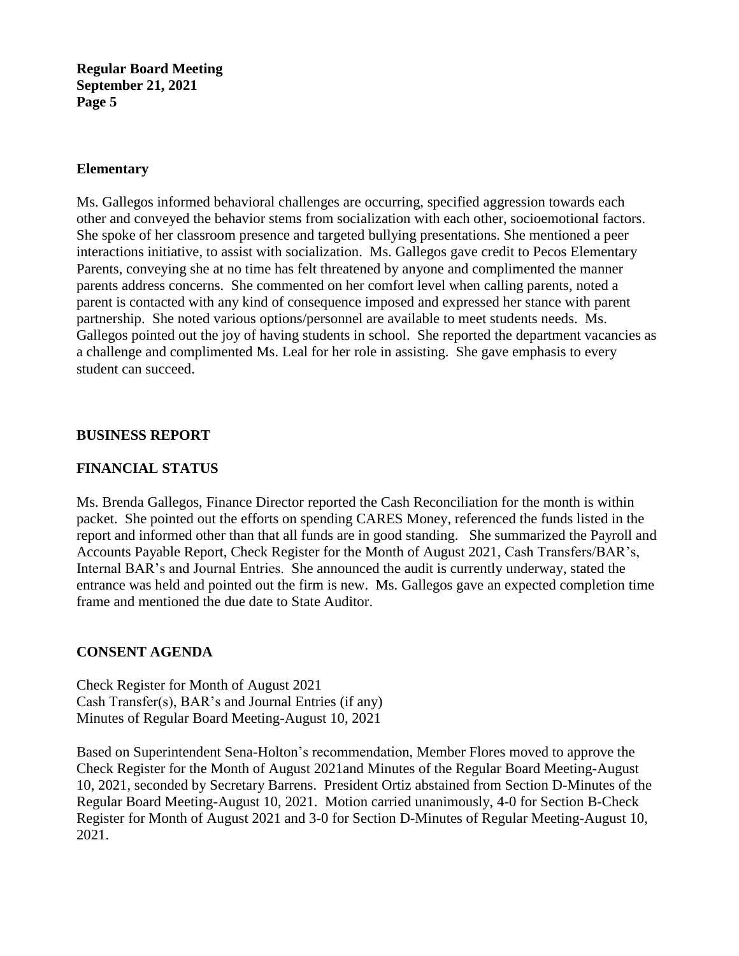### **Elementary**

Ms. Gallegos informed behavioral challenges are occurring, specified aggression towards each other and conveyed the behavior stems from socialization with each other, socioemotional factors. She spoke of her classroom presence and targeted bullying presentations. She mentioned a peer interactions initiative, to assist with socialization. Ms. Gallegos gave credit to Pecos Elementary Parents, conveying she at no time has felt threatened by anyone and complimented the manner parents address concerns. She commented on her comfort level when calling parents, noted a parent is contacted with any kind of consequence imposed and expressed her stance with parent partnership. She noted various options/personnel are available to meet students needs. Ms. Gallegos pointed out the joy of having students in school. She reported the department vacancies as a challenge and complimented Ms. Leal for her role in assisting. She gave emphasis to every student can succeed.

### **BUSINESS REPORT**

# **FINANCIAL STATUS**

Ms. Brenda Gallegos, Finance Director reported the Cash Reconciliation for the month is within packet. She pointed out the efforts on spending CARES Money, referenced the funds listed in the report and informed other than that all funds are in good standing. She summarized the Payroll and Accounts Payable Report, Check Register for the Month of August 2021, Cash Transfers/BAR's, Internal BAR's and Journal Entries. She announced the audit is currently underway, stated the entrance was held and pointed out the firm is new. Ms. Gallegos gave an expected completion time frame and mentioned the due date to State Auditor.

# **CONSENT AGENDA**

Check Register for Month of August 2021 Cash Transfer(s), BAR's and Journal Entries (if any) Minutes of Regular Board Meeting-August 10, 2021

Based on Superintendent Sena-Holton's recommendation, Member Flores moved to approve the Check Register for the Month of August 2021and Minutes of the Regular Board Meeting-August 10, 2021, seconded by Secretary Barrens. President Ortiz abstained from Section D-Minutes of the Regular Board Meeting-August 10, 2021. Motion carried unanimously, 4-0 for Section B-Check Register for Month of August 2021 and 3-0 for Section D-Minutes of Regular Meeting-August 10, 2021.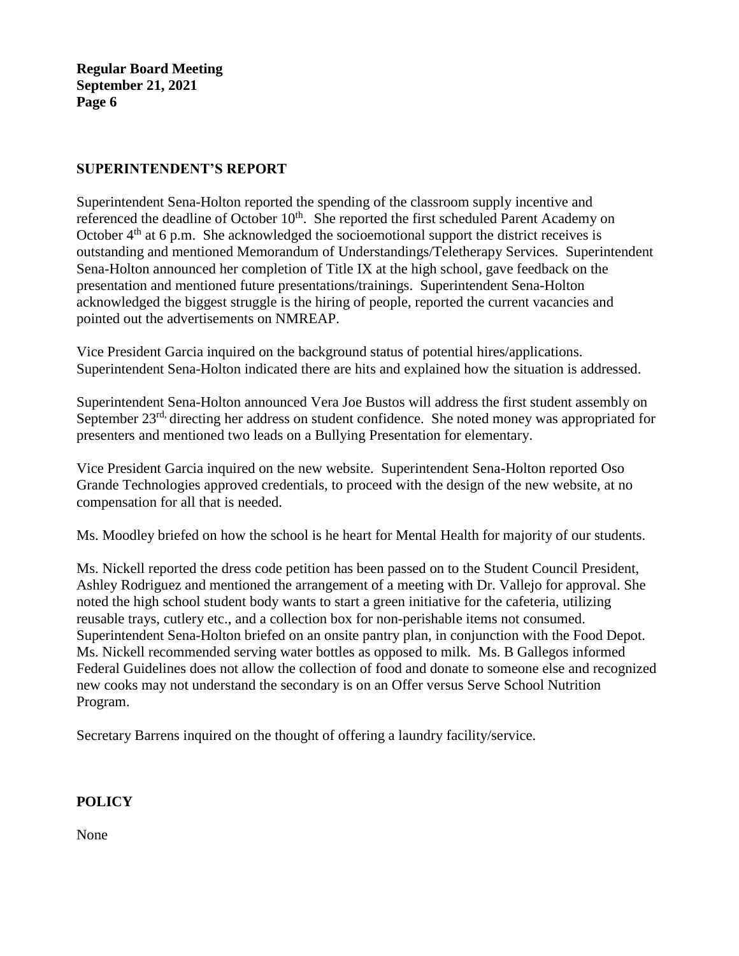# **SUPERINTENDENT'S REPORT**

Superintendent Sena-Holton reported the spending of the classroom supply incentive and referenced the deadline of October 10<sup>th</sup>. She reported the first scheduled Parent Academy on October  $4<sup>th</sup>$  at 6 p.m. She acknowledged the socioemotional support the district receives is outstanding and mentioned Memorandum of Understandings/Teletherapy Services. Superintendent Sena-Holton announced her completion of Title IX at the high school, gave feedback on the presentation and mentioned future presentations/trainings. Superintendent Sena-Holton acknowledged the biggest struggle is the hiring of people, reported the current vacancies and pointed out the advertisements on NMREAP.

Vice President Garcia inquired on the background status of potential hires/applications. Superintendent Sena-Holton indicated there are hits and explained how the situation is addressed.

Superintendent Sena-Holton announced Vera Joe Bustos will address the first student assembly on September 23<sup>rd,</sup> directing her address on student confidence. She noted money was appropriated for presenters and mentioned two leads on a Bullying Presentation for elementary.

Vice President Garcia inquired on the new website. Superintendent Sena-Holton reported Oso Grande Technologies approved credentials, to proceed with the design of the new website, at no compensation for all that is needed.

Ms. Moodley briefed on how the school is he heart for Mental Health for majority of our students.

Ms. Nickell reported the dress code petition has been passed on to the Student Council President, Ashley Rodriguez and mentioned the arrangement of a meeting with Dr. Vallejo for approval. She noted the high school student body wants to start a green initiative for the cafeteria, utilizing reusable trays, cutlery etc., and a collection box for non-perishable items not consumed. Superintendent Sena-Holton briefed on an onsite pantry plan, in conjunction with the Food Depot. Ms. Nickell recommended serving water bottles as opposed to milk. Ms. B Gallegos informed Federal Guidelines does not allow the collection of food and donate to someone else and recognized new cooks may not understand the secondary is on an Offer versus Serve School Nutrition Program.

Secretary Barrens inquired on the thought of offering a laundry facility/service.

# **POLICY**

None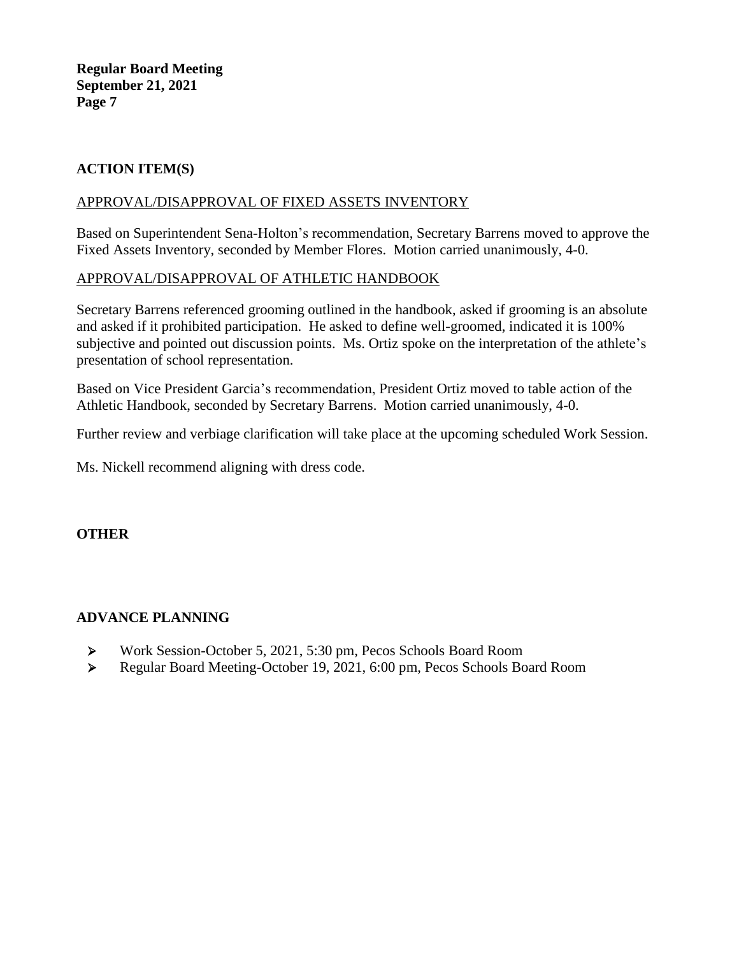# **ACTION ITEM(S)**

## APPROVAL/DISAPPROVAL OF FIXED ASSETS INVENTORY

Based on Superintendent Sena-Holton's recommendation, Secretary Barrens moved to approve the Fixed Assets Inventory, seconded by Member Flores. Motion carried unanimously, 4-0.

# APPROVAL/DISAPPROVAL OF ATHLETIC HANDBOOK

Secretary Barrens referenced grooming outlined in the handbook, asked if grooming is an absolute and asked if it prohibited participation. He asked to define well-groomed, indicated it is 100% subjective and pointed out discussion points. Ms. Ortiz spoke on the interpretation of the athlete's presentation of school representation.

Based on Vice President Garcia's recommendation, President Ortiz moved to table action of the Athletic Handbook, seconded by Secretary Barrens. Motion carried unanimously, 4-0.

Further review and verbiage clarification will take place at the upcoming scheduled Work Session.

Ms. Nickell recommend aligning with dress code.

### **OTHER**

# **ADVANCE PLANNING**

- ➢ Work Session-October 5, 2021, 5:30 pm, Pecos Schools Board Room
- ➢ Regular Board Meeting-October 19, 2021, 6:00 pm, Pecos Schools Board Room